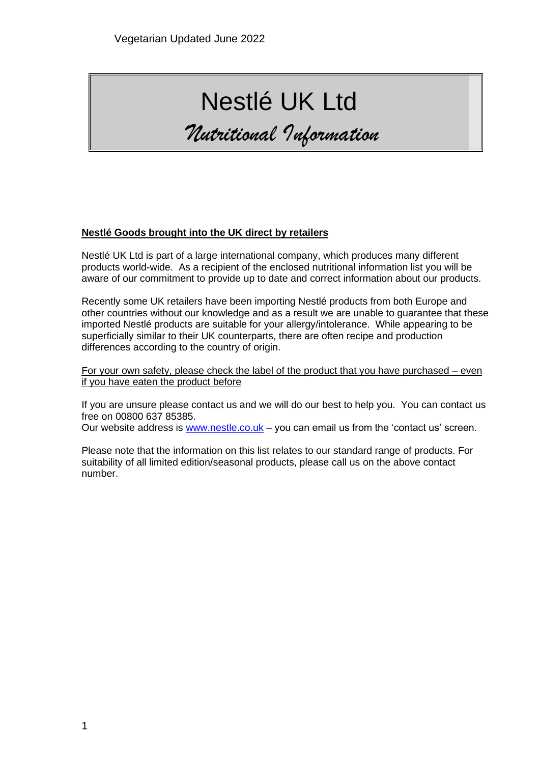# Nestlé UK Ltd

*Nutritional Information*

#### **Nestlé Goods brought into the UK direct by retailers**

Nestlé UK Ltd is part of a large international company, which produces many different products world-wide. As a recipient of the enclosed nutritional information list you will be aware of our commitment to provide up to date and correct information about our products.

Recently some UK retailers have been importing Nestlé products from both Europe and other countries without our knowledge and as a result we are unable to guarantee that these imported Nestlé products are suitable for your allergy/intolerance. While appearing to be superficially similar to their UK counterparts, there are often recipe and production differences according to the country of origin.

For your own safety, please check the label of the product that you have purchased – even if you have eaten the product before

If you are unsure please contact us and we will do our best to help you. You can contact us free on 00800 637 85385.

Our website address is [www.nestle.co.uk](http://www.nestle.co.uk/) – you can email us from the 'contact us' screen.

Please note that the information on this list relates to our standard range of products. For suitability of all limited edition/seasonal products, please call us on the above contact number.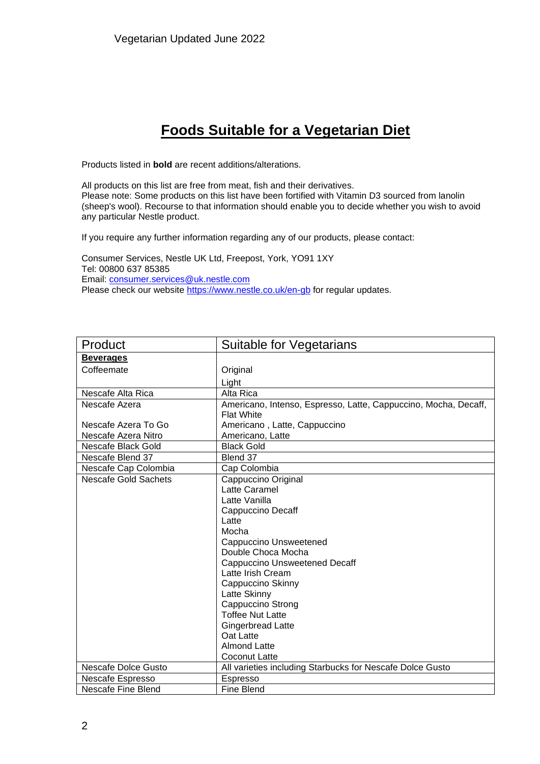## **Foods Suitable for a Vegetarian Diet**

Products listed in **bold** are recent additions/alterations.

All products on this list are free from meat, fish and their derivatives. Please note: Some products on this list have been fortified with Vitamin D3 sourced from lanolin (sheep's wool). Recourse to that information should enable you to decide whether you wish to avoid any particular Nestle product.

If you require any further information regarding any of our products, please contact:

Consumer Services, Nestle UK Ltd, Freepost, York, YO91 1XY Tel: 00800 637 85385 Email: [consumer.services@uk.nestle.com](mailto:consumer.services@uk.nestle.com) Please check our website<https://www.nestle.co.uk/en-gb> for regular updates.

| Product                     | Suitable for Vegetarians                                        |
|-----------------------------|-----------------------------------------------------------------|
| <b>Beverages</b>            |                                                                 |
| Coffeemate                  | Original                                                        |
|                             | Light                                                           |
| Nescafe Alta Rica           | Alta Rica                                                       |
| Nescafe Azera               | Americano, Intenso, Espresso, Latte, Cappuccino, Mocha, Decaff, |
|                             | <b>Flat White</b>                                               |
| Nescafe Azera To Go         | Americano, Latte, Cappuccino                                    |
| Nescafe Azera Nitro         | Americano, Latte                                                |
| Nescafe Black Gold          | <b>Black Gold</b>                                               |
| Nescafe Blend 37            | Blend 37                                                        |
| Nescafe Cap Colombia        | Cap Colombia                                                    |
| <b>Nescafe Gold Sachets</b> | Cappuccino Original                                             |
|                             | Latte Caramel                                                   |
|                             | Latte Vanilla                                                   |
|                             | Cappuccino Decaff                                               |
|                             | Latte                                                           |
|                             | Mocha                                                           |
|                             | Cappuccino Unsweetened                                          |
|                             | Double Choca Mocha                                              |
|                             | <b>Cappuccino Unsweetened Decaff</b>                            |
|                             | Latte Irish Cream                                               |
|                             | Cappuccino Skinny                                               |
|                             | Latte Skinny                                                    |
|                             | Cappuccino Strong                                               |
|                             | <b>Toffee Nut Latte</b>                                         |
|                             | <b>Gingerbread Latte</b>                                        |
|                             | Oat Latte                                                       |
|                             | <b>Almond Latte</b>                                             |
|                             | Coconut Latte                                                   |
| Nescafe Dolce Gusto         | All varieties including Starbucks for Nescafe Dolce Gusto       |
| Nescafe Espresso            | Espresso                                                        |
| Nescafe Fine Blend          | Fine Blend                                                      |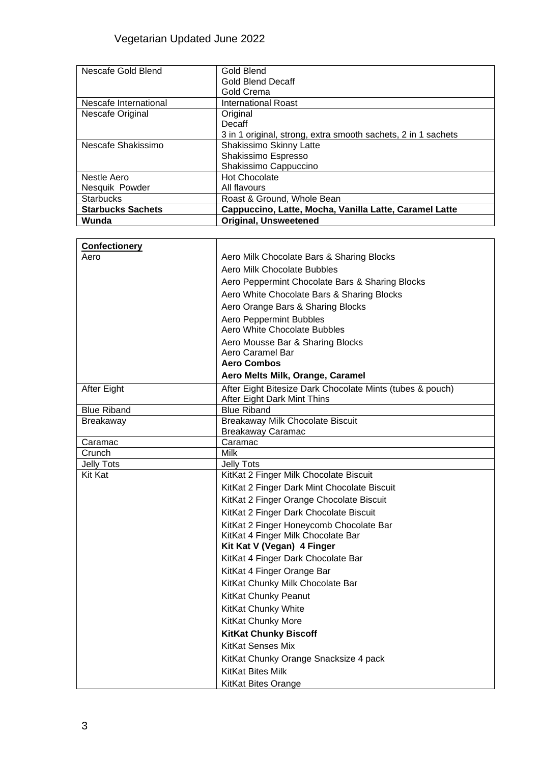| Nescafe Gold Blend       | Gold Blend                                                    |
|--------------------------|---------------------------------------------------------------|
|                          | <b>Gold Blend Decaff</b>                                      |
|                          | Gold Crema                                                    |
| Nescafe International    | <b>International Roast</b>                                    |
| Nescafe Original         | Original                                                      |
|                          | Decaff                                                        |
|                          | 3 in 1 original, strong, extra smooth sachets, 2 in 1 sachets |
| Nescafe Shakissimo       | Shakissimo Skinny Latte                                       |
|                          | Shakissimo Espresso                                           |
|                          | Shakissimo Cappuccino                                         |
| Nestle Aero              | <b>Hot Chocolate</b>                                          |
| Nesquik Powder           | All flavours                                                  |
| <b>Starbucks</b>         | Roast & Ground, Whole Bean                                    |
| <b>Starbucks Sachets</b> | Cappuccino, Latte, Mocha, Vanilla Latte, Caramel Latte        |
| Wunda                    | <b>Original, Unsweetened</b>                                  |

| <b>Confectionery</b> |                                                              |
|----------------------|--------------------------------------------------------------|
| Aero                 | Aero Milk Chocolate Bars & Sharing Blocks                    |
|                      | Aero Milk Chocolate Bubbles                                  |
|                      | Aero Peppermint Chocolate Bars & Sharing Blocks              |
|                      | Aero White Chocolate Bars & Sharing Blocks                   |
|                      | Aero Orange Bars & Sharing Blocks                            |
|                      | <b>Aero Peppermint Bubbles</b>                               |
|                      | Aero White Chocolate Bubbles                                 |
|                      | Aero Mousse Bar & Sharing Blocks                             |
|                      | Aero Caramel Bar                                             |
|                      | <b>Aero Combos</b>                                           |
|                      | Aero Melts Milk, Orange, Caramel                             |
| After Eight          | After Eight Bitesize Dark Chocolate Mints (tubes & pouch)    |
|                      | After Eight Dark Mint Thins                                  |
| <b>Blue Riband</b>   | <b>Blue Riband</b>                                           |
| <b>Breakaway</b>     | Breakaway Milk Chocolate Biscuit<br><b>Breakaway Caramac</b> |
| Caramac              | Caramac                                                      |
| Crunch               | <b>Milk</b>                                                  |
| <b>Jelly Tots</b>    | <b>Jelly Tots</b>                                            |
| <b>Kit Kat</b>       | KitKat 2 Finger Milk Chocolate Biscuit                       |
|                      | KitKat 2 Finger Dark Mint Chocolate Biscuit                  |
|                      | KitKat 2 Finger Orange Chocolate Biscuit                     |
|                      | KitKat 2 Finger Dark Chocolate Biscuit                       |
|                      | KitKat 2 Finger Honeycomb Chocolate Bar                      |
|                      | KitKat 4 Finger Milk Chocolate Bar                           |
|                      | Kit Kat V (Vegan) 4 Finger                                   |
|                      | KitKat 4 Finger Dark Chocolate Bar                           |
|                      | KitKat 4 Finger Orange Bar                                   |
|                      | KitKat Chunky Milk Chocolate Bar                             |
|                      | KitKat Chunky Peanut                                         |
|                      | <b>KitKat Chunky White</b>                                   |
|                      | KitKat Chunky More                                           |
|                      | <b>KitKat Chunky Biscoff</b>                                 |
|                      | KitKat Senses Mix                                            |
|                      | KitKat Chunky Orange Snacksize 4 pack                        |
|                      | <b>KitKat Bites Milk</b>                                     |
|                      | <b>KitKat Bites Orange</b>                                   |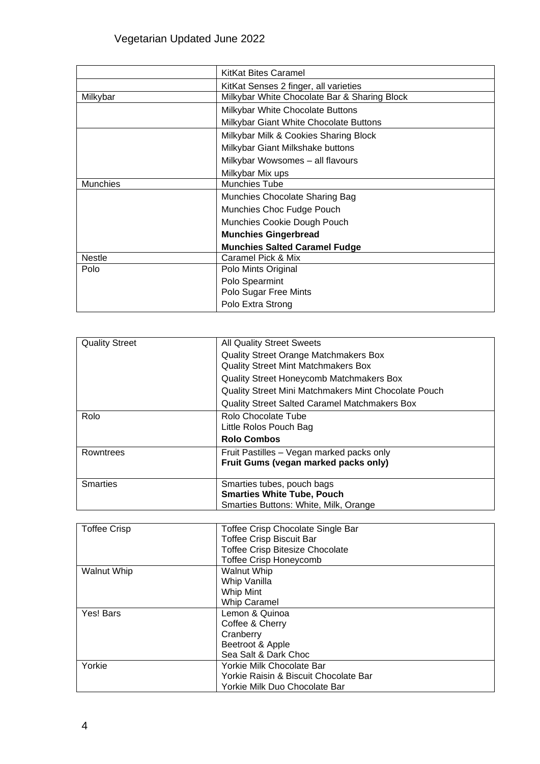|                 | <b>KitKat Bites Caramel</b>                  |
|-----------------|----------------------------------------------|
|                 | KitKat Senses 2 finger, all varieties        |
| Milkybar        | Milkybar White Chocolate Bar & Sharing Block |
|                 | Milkybar White Chocolate Buttons             |
|                 | Milkybar Giant White Chocolate Buttons       |
|                 | Milkybar Milk & Cookies Sharing Block        |
|                 | Milkybar Giant Milkshake buttons             |
|                 | Milkybar Wowsomes - all flavours             |
|                 | Milkybar Mix ups                             |
| <b>Munchies</b> | <b>Munchies Tube</b>                         |
|                 | Munchies Chocolate Sharing Bag               |
|                 | Munchies Choc Fudge Pouch                    |
|                 | Munchies Cookie Dough Pouch                  |
|                 | <b>Munchies Gingerbread</b>                  |
|                 | <b>Munchies Salted Caramel Fudge</b>         |
| <b>Nestle</b>   | Caramel Pick & Mix                           |
| Polo            | Polo Mints Original                          |
|                 | Polo Spearmint                               |
|                 | Polo Sugar Free Mints                        |
|                 | Polo Extra Strong                            |

| <b>Quality Street</b> | <b>All Quality Street Sweets</b>                     |
|-----------------------|------------------------------------------------------|
|                       | <b>Quality Street Orange Matchmakers Box</b>         |
|                       | <b>Quality Street Mint Matchmakers Box</b>           |
|                       | Quality Street Honeycomb Matchmakers Box             |
|                       | Quality Street Mini Matchmakers Mint Chocolate Pouch |
|                       | <b>Quality Street Salted Caramel Matchmakers Box</b> |
| Rolo                  | Rolo Chocolate Tube                                  |
|                       | Little Rolos Pouch Bag                               |
|                       | <b>Rolo Combos</b>                                   |
| Rowntrees             | Fruit Pastilles - Vegan marked packs only            |
|                       | Fruit Gums (vegan marked packs only)                 |
|                       |                                                      |
| <b>Smarties</b>       | Smarties tubes, pouch bags                           |
|                       | <b>Smarties White Tube, Pouch</b>                    |
|                       | Smarties Buttons: White, Milk, Orange                |

| <b>Toffee Crisp</b> | Toffee Crisp Chocolate Single Bar      |
|---------------------|----------------------------------------|
|                     | <b>Toffee Crisp Biscuit Bar</b>        |
|                     | <b>Toffee Crisp Bitesize Chocolate</b> |
|                     | <b>Toffee Crisp Honeycomb</b>          |
| <b>Walnut Whip</b>  | Walnut Whip                            |
|                     | Whip Vanilla                           |
|                     | Whip Mint                              |
|                     | <b>Whip Caramel</b>                    |
| Yes! Bars           | Lemon & Quinoa                         |
|                     | Coffee & Cherry                        |
|                     | Cranberry                              |
|                     | Beetroot & Apple                       |
|                     | Sea Salt & Dark Choc                   |
| Yorkie              | Yorkie Milk Chocolate Bar              |
|                     | Yorkie Raisin & Biscuit Chocolate Bar  |
|                     | Yorkie Milk Duo Chocolate Bar          |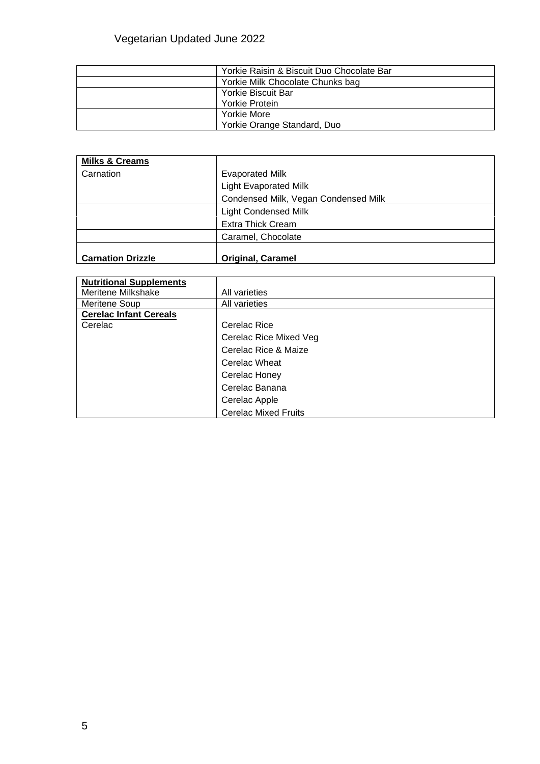| Yorkie Raisin & Biscuit Duo Chocolate Bar |
|-------------------------------------------|
| Yorkie Milk Chocolate Chunks bag          |
| Yorkie Biscuit Bar                        |
| Yorkie Protein                            |
| Yorkie More                               |
| Yorkie Orange Standard, Duo               |

| <b>Milks &amp; Creams</b> |                                      |
|---------------------------|--------------------------------------|
| Carnation                 | <b>Evaporated Milk</b>               |
|                           | <b>Light Evaporated Milk</b>         |
|                           | Condensed Milk, Vegan Condensed Milk |
|                           | <b>Light Condensed Milk</b>          |
|                           | <b>Extra Thick Cream</b>             |
|                           | Caramel, Chocolate                   |
|                           |                                      |
| <b>Carnation Drizzle</b>  | <b>Original, Caramel</b>             |

| <b>Nutritional Supplements</b> |                             |
|--------------------------------|-----------------------------|
| Meritene Milkshake             | All varieties               |
| Meritene Soup                  | All varieties               |
| <b>Cerelac Infant Cereals</b>  |                             |
| Cerelac                        | Cerelac Rice                |
|                                | Cerelac Rice Mixed Veg      |
|                                | Cerelac Rice & Maize        |
|                                | Cerelac Wheat               |
|                                | Cerelac Honey               |
|                                | Cerelac Banana              |
|                                | Cerelac Apple               |
|                                | <b>Cerelac Mixed Fruits</b> |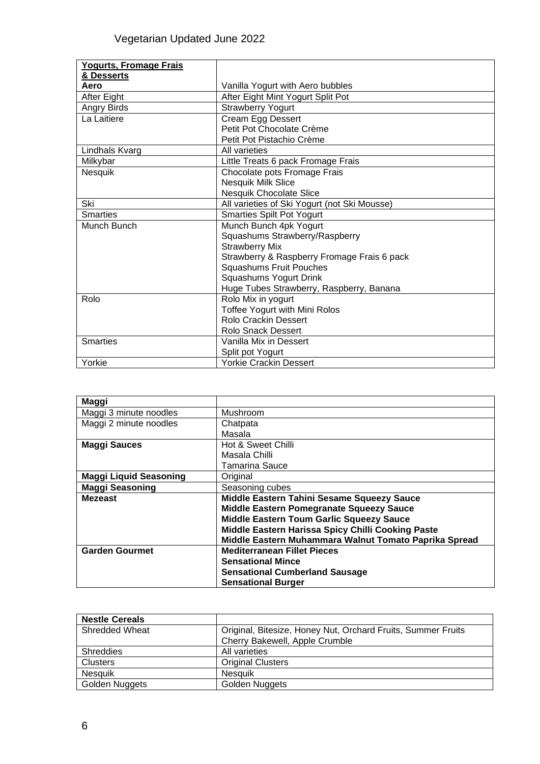| <b>Yogurts, Fromage Frais</b> |                                              |
|-------------------------------|----------------------------------------------|
| & Desserts                    |                                              |
| Aero                          | Vanilla Yogurt with Aero bubbles             |
| After Eight                   | After Eight Mint Yogurt Split Pot            |
| Angry Birds                   | <b>Strawberry Yogurt</b>                     |
| La Laitiere                   | Cream Egg Dessert                            |
|                               | Petit Pot Chocolate Crème                    |
|                               | Petit Pot Pistachio Crème                    |
| Lindhals Kvarg                | All varieties                                |
| Milkybar                      | Little Treats 6 pack Fromage Frais           |
| Nesquik                       | Chocolate pots Fromage Frais                 |
|                               | Nesquik Milk Slice                           |
|                               | <b>Nesquik Chocolate Slice</b>               |
| Ski                           | All varieties of Ski Yogurt (not Ski Mousse) |
| <b>Smarties</b>               | <b>Smarties Spilt Pot Yogurt</b>             |
| Munch Bunch                   | Munch Bunch 4pk Yogurt                       |
|                               | Squashums Strawberry/Raspberry               |
|                               | <b>Strawberry Mix</b>                        |
|                               | Strawberry & Raspberry Fromage Frais 6 pack  |
|                               | <b>Squashums Fruit Pouches</b>               |
|                               | Squashums Yogurt Drink                       |
|                               | Huge Tubes Strawberry, Raspberry, Banana     |
| Rolo                          | Rolo Mix in yogurt                           |
|                               | Toffee Yogurt with Mini Rolos                |
|                               | Rolo Crackin Dessert                         |
|                               | <b>Rolo Snack Dessert</b>                    |
| <b>Smarties</b>               | Vanilla Mix in Dessert                       |
|                               | Split pot Yogurt                             |
| Yorkie                        | <b>Yorkie Crackin Dessert</b>                |

| Maggi                         |                                                       |
|-------------------------------|-------------------------------------------------------|
| Maggi 3 minute noodles        | Mushroom                                              |
| Maggi 2 minute noodles        | Chatpata                                              |
|                               | Masala                                                |
| <b>Maggi Sauces</b>           | Hot & Sweet Chilli                                    |
|                               | Masala Chilli                                         |
|                               | Tamarina Sauce                                        |
| <b>Maggi Liquid Seasoning</b> | Original                                              |
| <b>Maggi Seasoning</b>        | Seasoning cubes                                       |
| <b>Mezeast</b>                | Middle Eastern Tahini Sesame Squeezy Sauce            |
|                               | Middle Eastern Pomegranate Squeezy Sauce              |
|                               | Middle Eastern Toum Garlic Squeezy Sauce              |
|                               | Middle Eastern Harissa Spicy Chilli Cooking Paste     |
|                               | Middle Eastern Muhammara Walnut Tomato Paprika Spread |
| <b>Garden Gourmet</b>         | <b>Mediterranean Fillet Pieces</b>                    |
|                               | <b>Sensational Mince</b>                              |
|                               | <b>Sensational Cumberland Sausage</b>                 |
|                               | <b>Sensational Burger</b>                             |

| <b>Nestle Cereals</b> |                                                              |
|-----------------------|--------------------------------------------------------------|
| <b>Shredded Wheat</b> | Original, Bitesize, Honey Nut, Orchard Fruits, Summer Fruits |
|                       | Cherry Bakewell, Apple Crumble                               |
| <b>Shreddies</b>      | All varieties                                                |
| <b>Clusters</b>       | <b>Original Clusters</b>                                     |
| <b>Nesquik</b>        | <b>Nesauik</b>                                               |
| <b>Golden Nuggets</b> | <b>Golden Nuggets</b>                                        |